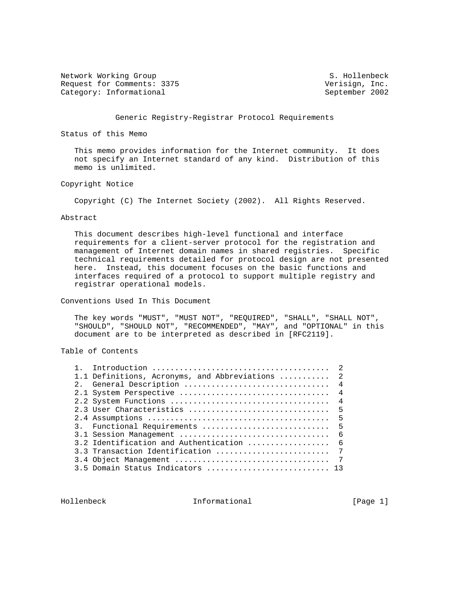Network Working Group S. Hollenbeck Request for Comments: 3375 Verisign, Inc. Category: Informational September 2002

## Generic Registry-Registrar Protocol Requirements

Status of this Memo

 This memo provides information for the Internet community. It does not specify an Internet standard of any kind. Distribution of this memo is unlimited.

# Copyright Notice

Copyright (C) The Internet Society (2002). All Rights Reserved.

#### Abstract

 This document describes high-level functional and interface requirements for a client-server protocol for the registration and management of Internet domain names in shared registries. Specific technical requirements detailed for protocol design are not presented here. Instead, this document focuses on the basic functions and interfaces required of a protocol to support multiple registry and registrar operational models.

Conventions Used In This Document

 The key words "MUST", "MUST NOT", "REQUIRED", "SHALL", "SHALL NOT", "SHOULD", "SHOULD NOT", "RECOMMENDED", "MAY", and "OPTIONAL" in this document are to be interpreted as described in [RFC2119].

# Table of Contents

|  |                                              | 2              |
|--|----------------------------------------------|----------------|
|  | 1.1 Definitions, Acronyms, and Abbreviations | $\mathcal{L}$  |
|  | 2. General Description                       | $\overline{4}$ |
|  | 2.1 System Perspective                       | $\overline{4}$ |
|  |                                              | $\overline{4}$ |
|  | 2.3 User Characteristics                     | $-5$           |
|  |                                              | 5              |
|  | 3. Functional Requirements                   | - 5            |
|  | 3.1 Session Management                       | -6             |
|  | 3.2 Identification and Authentication        | 6              |
|  | 3.3 Transaction Identification               | 7              |
|  | 3.4 Object Management                        | 7              |
|  | 3.5 Domain Status Indicators                 |                |
|  |                                              |                |

Hollenbeck Informational [Page 1]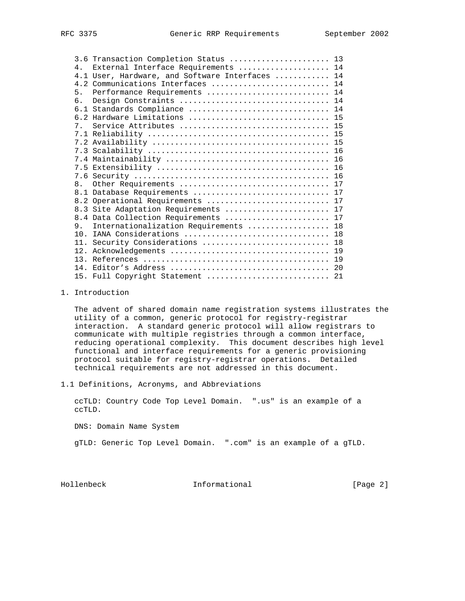|                 | 3.6 Transaction Completion Status  13           |  |
|-----------------|-------------------------------------------------|--|
| 4 <sub>1</sub>  | External Interface Requirements  14             |  |
|                 | 4.1 User, Hardware, and Software Interfaces  14 |  |
|                 | 4.2 Communications Interfaces  14               |  |
| 5 <sub>1</sub>  | Performance Requirements  14                    |  |
| б.              | Design Constraints  14                          |  |
|                 | 6.1 Standards Compliance  14                    |  |
|                 | 6.2 Hardware Limitations  15                    |  |
| 7 <sub>1</sub>  |                                                 |  |
|                 |                                                 |  |
|                 |                                                 |  |
|                 |                                                 |  |
|                 |                                                 |  |
|                 |                                                 |  |
|                 |                                                 |  |
| 8.              | Other Requirements  17                          |  |
|                 | 8.1 Database Requirements  17                   |  |
|                 | 8.2 Operational Requirements  17                |  |
|                 | 8.3 Site Adaptation Requirements  17            |  |
|                 | 8.4 Data Collection Requirements  17            |  |
| 9.              | Internationalization Requirements  18           |  |
| 10 <sub>1</sub> | IANA Considerations  18                         |  |
|                 | 11. Security Considerations  18                 |  |
| 12.             |                                                 |  |
| 1.3.            |                                                 |  |
| 14.             |                                                 |  |
|                 | 15. Full Copyright Statement  21                |  |

1. Introduction

 The advent of shared domain name registration systems illustrates the utility of a common, generic protocol for registry-registrar interaction. A standard generic protocol will allow registrars to communicate with multiple registries through a common interface, reducing operational complexity. This document describes high level functional and interface requirements for a generic provisioning protocol suitable for registry-registrar operations. Detailed technical requirements are not addressed in this document.

1.1 Definitions, Acronyms, and Abbreviations

 ccTLD: Country Code Top Level Domain. ".us" is an example of a ccTLD.

DNS: Domain Name System

gTLD: Generic Top Level Domain. ".com" is an example of a gTLD.

Hollenbeck Informational [Page 2]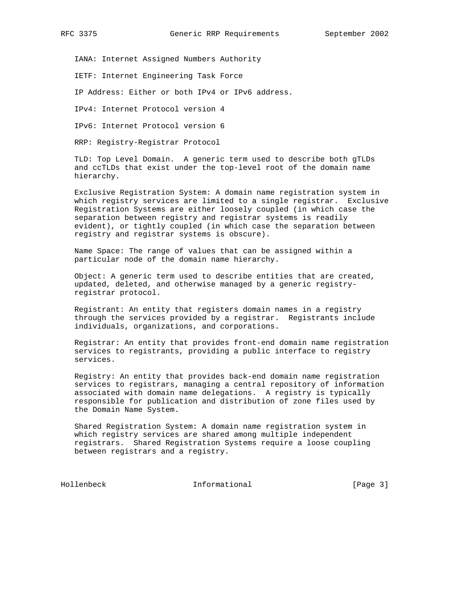IANA: Internet Assigned Numbers Authority

IETF: Internet Engineering Task Force

IP Address: Either or both IPv4 or IPv6 address.

IPv4: Internet Protocol version 4

IPv6: Internet Protocol version 6

RRP: Registry-Registrar Protocol

 TLD: Top Level Domain. A generic term used to describe both gTLDs and ccTLDs that exist under the top-level root of the domain name hierarchy.

 Exclusive Registration System: A domain name registration system in which registry services are limited to a single registrar. Exclusive Registration Systems are either loosely coupled (in which case the separation between registry and registrar systems is readily evident), or tightly coupled (in which case the separation between registry and registrar systems is obscure).

 Name Space: The range of values that can be assigned within a particular node of the domain name hierarchy.

 Object: A generic term used to describe entities that are created, updated, deleted, and otherwise managed by a generic registry registrar protocol.

 Registrant: An entity that registers domain names in a registry through the services provided by a registrar. Registrants include individuals, organizations, and corporations.

 Registrar: An entity that provides front-end domain name registration services to registrants, providing a public interface to registry services.

 Registry: An entity that provides back-end domain name registration services to registrars, managing a central repository of information associated with domain name delegations. A registry is typically responsible for publication and distribution of zone files used by the Domain Name System.

 Shared Registration System: A domain name registration system in which registry services are shared among multiple independent registrars. Shared Registration Systems require a loose coupling between registrars and a registry.

Hollenbeck Informational [Page 3]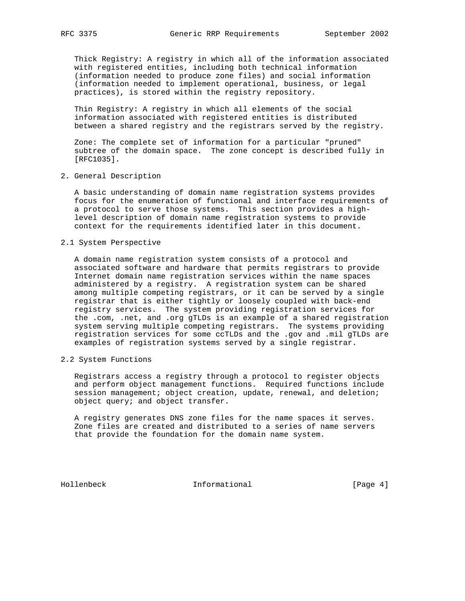Thick Registry: A registry in which all of the information associated with registered entities, including both technical information (information needed to produce zone files) and social information (information needed to implement operational, business, or legal practices), is stored within the registry repository.

 Thin Registry: A registry in which all elements of the social information associated with registered entities is distributed between a shared registry and the registrars served by the registry.

 Zone: The complete set of information for a particular "pruned" subtree of the domain space. The zone concept is described fully in [RFC1035].

2. General Description

 A basic understanding of domain name registration systems provides focus for the enumeration of functional and interface requirements of a protocol to serve those systems. This section provides a high level description of domain name registration systems to provide context for the requirements identified later in this document.

2.1 System Perspective

 A domain name registration system consists of a protocol and associated software and hardware that permits registrars to provide Internet domain name registration services within the name spaces administered by a registry. A registration system can be shared among multiple competing registrars, or it can be served by a single registrar that is either tightly or loosely coupled with back-end registry services. The system providing registration services for the .com, .net, and .org gTLDs is an example of a shared registration system serving multiple competing registrars. The systems providing registration services for some ccTLDs and the .gov and .mil gTLDs are examples of registration systems served by a single registrar.

2.2 System Functions

 Registrars access a registry through a protocol to register objects and perform object management functions. Required functions include session management; object creation, update, renewal, and deletion; object query; and object transfer.

 A registry generates DNS zone files for the name spaces it serves. Zone files are created and distributed to a series of name servers that provide the foundation for the domain name system.

Hollenbeck Informational [Page 4]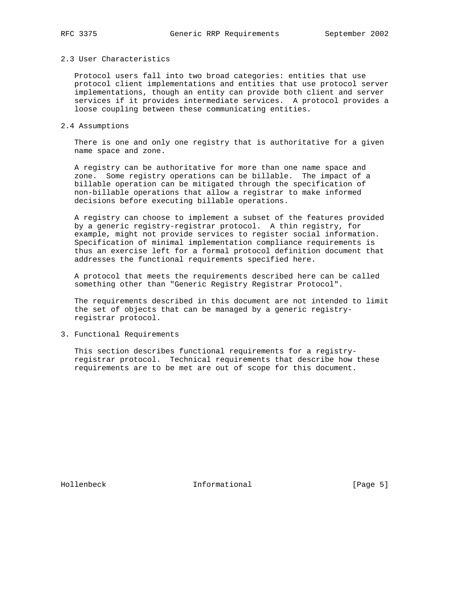# 2.3 User Characteristics

 Protocol users fall into two broad categories: entities that use protocol client implementations and entities that use protocol server implementations, though an entity can provide both client and server services if it provides intermediate services. A protocol provides a loose coupling between these communicating entities.

#### 2.4 Assumptions

 There is one and only one registry that is authoritative for a given name space and zone.

 A registry can be authoritative for more than one name space and zone. Some registry operations can be billable. The impact of a billable operation can be mitigated through the specification of non-billable operations that allow a registrar to make informed decisions before executing billable operations.

 A registry can choose to implement a subset of the features provided by a generic registry-registrar protocol. A thin registry, for example, might not provide services to register social information. Specification of minimal implementation compliance requirements is thus an exercise left for a formal protocol definition document that addresses the functional requirements specified here.

 A protocol that meets the requirements described here can be called something other than "Generic Registry Registrar Protocol".

 The requirements described in this document are not intended to limit the set of objects that can be managed by a generic registry registrar protocol.

3. Functional Requirements

 This section describes functional requirements for a registry registrar protocol. Technical requirements that describe how these requirements are to be met are out of scope for this document.

Hollenbeck **Informational** Informational [Page 5]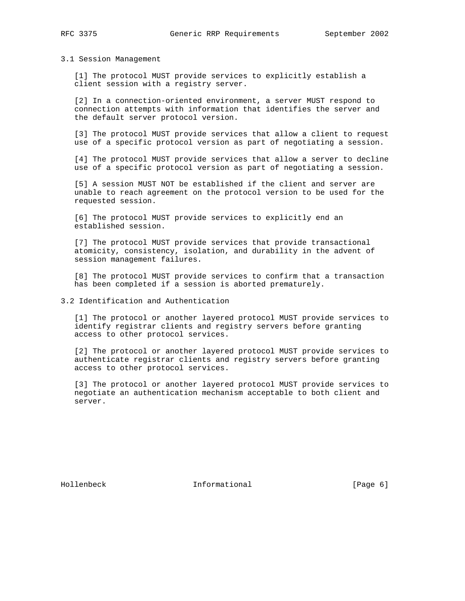#### 3.1 Session Management

 [1] The protocol MUST provide services to explicitly establish a client session with a registry server.

 [2] In a connection-oriented environment, a server MUST respond to connection attempts with information that identifies the server and the default server protocol version.

 [3] The protocol MUST provide services that allow a client to request use of a specific protocol version as part of negotiating a session.

 [4] The protocol MUST provide services that allow a server to decline use of a specific protocol version as part of negotiating a session.

 [5] A session MUST NOT be established if the client and server are unable to reach agreement on the protocol version to be used for the requested session.

 [6] The protocol MUST provide services to explicitly end an established session.

 [7] The protocol MUST provide services that provide transactional atomicity, consistency, isolation, and durability in the advent of session management failures.

 [8] The protocol MUST provide services to confirm that a transaction has been completed if a session is aborted prematurely.

3.2 Identification and Authentication

 [1] The protocol or another layered protocol MUST provide services to identify registrar clients and registry servers before granting access to other protocol services.

 [2] The protocol or another layered protocol MUST provide services to authenticate registrar clients and registry servers before granting access to other protocol services.

 [3] The protocol or another layered protocol MUST provide services to negotiate an authentication mechanism acceptable to both client and server.

Hollenbeck **Informational Informational** [Page 6]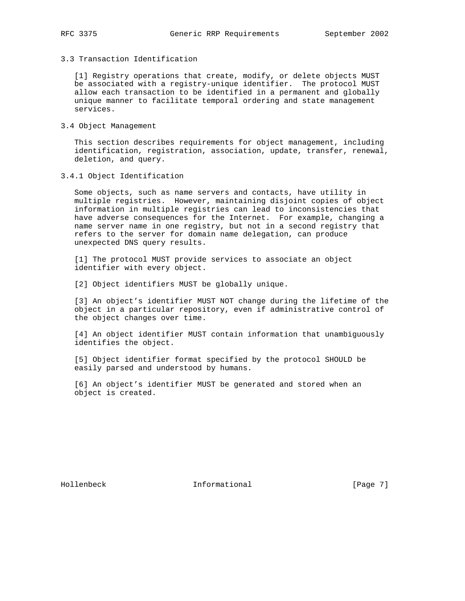3.3 Transaction Identification

 [1] Registry operations that create, modify, or delete objects MUST be associated with a registry-unique identifier. The protocol MUST allow each transaction to be identified in a permanent and globally unique manner to facilitate temporal ordering and state management services.

3.4 Object Management

 This section describes requirements for object management, including identification, registration, association, update, transfer, renewal, deletion, and query.

3.4.1 Object Identification

 Some objects, such as name servers and contacts, have utility in multiple registries. However, maintaining disjoint copies of object information in multiple registries can lead to inconsistencies that have adverse consequences for the Internet. For example, changing a name server name in one registry, but not in a second registry that refers to the server for domain name delegation, can produce unexpected DNS query results.

 [1] The protocol MUST provide services to associate an object identifier with every object.

[2] Object identifiers MUST be globally unique.

 [3] An object's identifier MUST NOT change during the lifetime of the object in a particular repository, even if administrative control of the object changes over time.

 [4] An object identifier MUST contain information that unambiguously identifies the object.

 [5] Object identifier format specified by the protocol SHOULD be easily parsed and understood by humans.

 [6] An object's identifier MUST be generated and stored when an object is created.

Hollenbeck **Informational** [Page 7]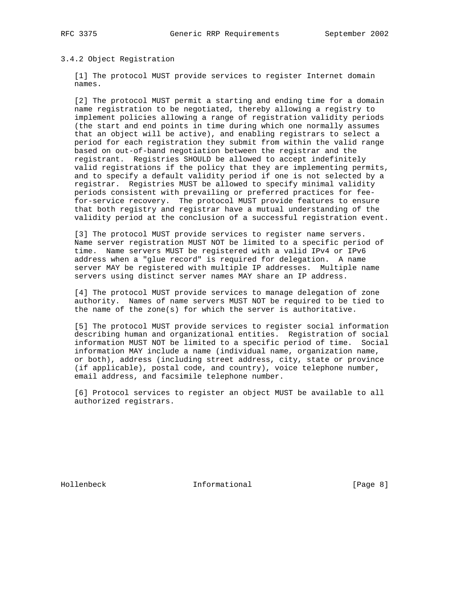# 3.4.2 Object Registration

 [1] The protocol MUST provide services to register Internet domain names.

 [2] The protocol MUST permit a starting and ending time for a domain name registration to be negotiated, thereby allowing a registry to implement policies allowing a range of registration validity periods (the start and end points in time during which one normally assumes that an object will be active), and enabling registrars to select a period for each registration they submit from within the valid range based on out-of-band negotiation between the registrar and the registrant. Registries SHOULD be allowed to accept indefinitely valid registrations if the policy that they are implementing permits, and to specify a default validity period if one is not selected by a registrar. Registries MUST be allowed to specify minimal validity periods consistent with prevailing or preferred practices for fee for-service recovery. The protocol MUST provide features to ensure that both registry and registrar have a mutual understanding of the validity period at the conclusion of a successful registration event.

[3] The protocol MUST provide services to register name servers. Name server registration MUST NOT be limited to a specific period of time. Name servers MUST be registered with a valid IPv4 or IPv6 address when a "glue record" is required for delegation. A name server MAY be registered with multiple IP addresses. Multiple name servers using distinct server names MAY share an IP address.

 [4] The protocol MUST provide services to manage delegation of zone authority. Names of name servers MUST NOT be required to be tied to the name of the zone(s) for which the server is authoritative.

 [5] The protocol MUST provide services to register social information describing human and organizational entities. Registration of social information MUST NOT be limited to a specific period of time. Social information MAY include a name (individual name, organization name, or both), address (including street address, city, state or province (if applicable), postal code, and country), voice telephone number, email address, and facsimile telephone number.

 [6] Protocol services to register an object MUST be available to all authorized registrars.

Hollenbeck Informational [Page 8]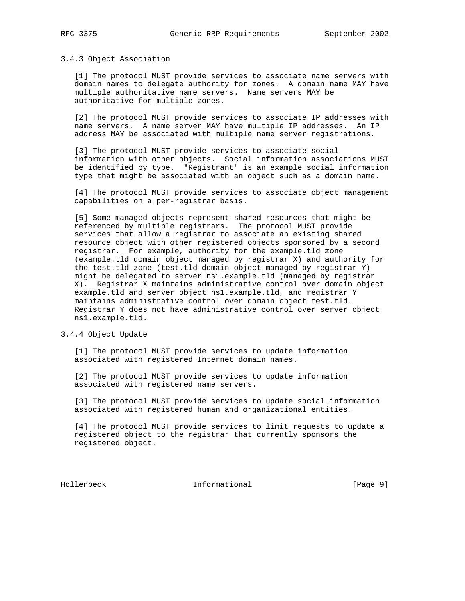#### 3.4.3 Object Association

 [1] The protocol MUST provide services to associate name servers with domain names to delegate authority for zones. A domain name MAY have multiple authoritative name servers. Name servers MAY be authoritative for multiple zones.

 [2] The protocol MUST provide services to associate IP addresses with name servers. A name server MAY have multiple IP addresses. An IP address MAY be associated with multiple name server registrations.

 [3] The protocol MUST provide services to associate social information with other objects. Social information associations MUST be identified by type. "Registrant" is an example social information type that might be associated with an object such as a domain name.

 [4] The protocol MUST provide services to associate object management capabilities on a per-registrar basis.

 [5] Some managed objects represent shared resources that might be referenced by multiple registrars. The protocol MUST provide services that allow a registrar to associate an existing shared resource object with other registered objects sponsored by a second registrar. For example, authority for the example.tld zone (example.tld domain object managed by registrar X) and authority for the test.tld zone (test.tld domain object managed by registrar Y) might be delegated to server ns1.example.tld (managed by registrar X). Registrar X maintains administrative control over domain object example.tld and server object ns1.example.tld, and registrar Y maintains administrative control over domain object test.tld. Registrar Y does not have administrative control over server object ns1.example.tld.

#### 3.4.4 Object Update

 [1] The protocol MUST provide services to update information associated with registered Internet domain names.

 [2] The protocol MUST provide services to update information associated with registered name servers.

 [3] The protocol MUST provide services to update social information associated with registered human and organizational entities.

 [4] The protocol MUST provide services to limit requests to update a registered object to the registrar that currently sponsors the registered object.

Hollenbeck Informational [Page 9]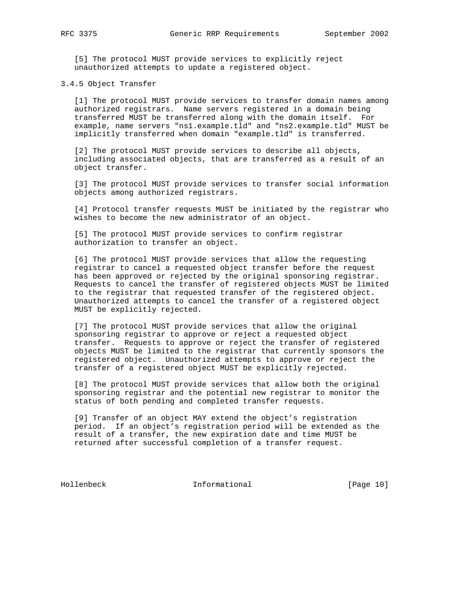[5] The protocol MUST provide services to explicitly reject unauthorized attempts to update a registered object.

3.4.5 Object Transfer

 [1] The protocol MUST provide services to transfer domain names among authorized registrars. Name servers registered in a domain being transferred MUST be transferred along with the domain itself. For example, name servers "ns1.example.tld" and "ns2.example.tld" MUST be implicitly transferred when domain "example.tld" is transferred.

 [2] The protocol MUST provide services to describe all objects, including associated objects, that are transferred as a result of an object transfer.

 [3] The protocol MUST provide services to transfer social information objects among authorized registrars.

 [4] Protocol transfer requests MUST be initiated by the registrar who wishes to become the new administrator of an object.

 [5] The protocol MUST provide services to confirm registrar authorization to transfer an object.

 [6] The protocol MUST provide services that allow the requesting registrar to cancel a requested object transfer before the request has been approved or rejected by the original sponsoring registrar. Requests to cancel the transfer of registered objects MUST be limited to the registrar that requested transfer of the registered object. Unauthorized attempts to cancel the transfer of a registered object MUST be explicitly rejected.

 [7] The protocol MUST provide services that allow the original sponsoring registrar to approve or reject a requested object transfer. Requests to approve or reject the transfer of registered objects MUST be limited to the registrar that currently sponsors the registered object. Unauthorized attempts to approve or reject the transfer of a registered object MUST be explicitly rejected.

 [8] The protocol MUST provide services that allow both the original sponsoring registrar and the potential new registrar to monitor the status of both pending and completed transfer requests.

 [9] Transfer of an object MAY extend the object's registration period. If an object's registration period will be extended as the result of a transfer, the new expiration date and time MUST be returned after successful completion of a transfer request.

Hollenbeck Informational [Page 10]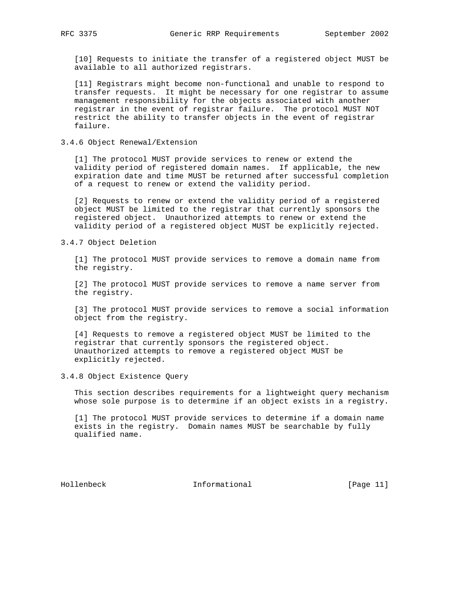[10] Requests to initiate the transfer of a registered object MUST be available to all authorized registrars.

 [11] Registrars might become non-functional and unable to respond to transfer requests. It might be necessary for one registrar to assume management responsibility for the objects associated with another registrar in the event of registrar failure. The protocol MUST NOT restrict the ability to transfer objects in the event of registrar failure.

3.4.6 Object Renewal/Extension

 [1] The protocol MUST provide services to renew or extend the validity period of registered domain names. If applicable, the new expiration date and time MUST be returned after successful completion of a request to renew or extend the validity period.

 [2] Requests to renew or extend the validity period of a registered object MUST be limited to the registrar that currently sponsors the registered object. Unauthorized attempts to renew or extend the validity period of a registered object MUST be explicitly rejected.

3.4.7 Object Deletion

 [1] The protocol MUST provide services to remove a domain name from the registry.

 [2] The protocol MUST provide services to remove a name server from the registry.

 [3] The protocol MUST provide services to remove a social information object from the registry.

 [4] Requests to remove a registered object MUST be limited to the registrar that currently sponsors the registered object. Unauthorized attempts to remove a registered object MUST be explicitly rejected.

3.4.8 Object Existence Query

 This section describes requirements for a lightweight query mechanism whose sole purpose is to determine if an object exists in a registry.

 [1] The protocol MUST provide services to determine if a domain name exists in the registry. Domain names MUST be searchable by fully qualified name.

Hollenbeck Informational [Page 11]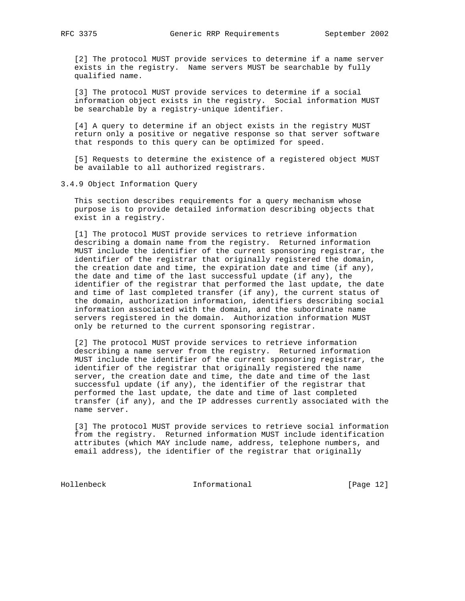[2] The protocol MUST provide services to determine if a name server exists in the registry. Name servers MUST be searchable by fully qualified name.

 [3] The protocol MUST provide services to determine if a social information object exists in the registry. Social information MUST be searchable by a registry-unique identifier.

 [4] A query to determine if an object exists in the registry MUST return only a positive or negative response so that server software that responds to this query can be optimized for speed.

 [5] Requests to determine the existence of a registered object MUST be available to all authorized registrars.

3.4.9 Object Information Query

 This section describes requirements for a query mechanism whose purpose is to provide detailed information describing objects that exist in a registry.

 [1] The protocol MUST provide services to retrieve information describing a domain name from the registry. Returned information MUST include the identifier of the current sponsoring registrar, the identifier of the registrar that originally registered the domain, the creation date and time, the expiration date and time (if any), the date and time of the last successful update (if any), the identifier of the registrar that performed the last update, the date and time of last completed transfer (if any), the current status of the domain, authorization information, identifiers describing social information associated with the domain, and the subordinate name servers registered in the domain. Authorization information MUST only be returned to the current sponsoring registrar.

 [2] The protocol MUST provide services to retrieve information describing a name server from the registry. Returned information MUST include the identifier of the current sponsoring registrar, the identifier of the registrar that originally registered the name server, the creation date and time, the date and time of the last successful update (if any), the identifier of the registrar that performed the last update, the date and time of last completed transfer (if any), and the IP addresses currently associated with the name server.

 [3] The protocol MUST provide services to retrieve social information from the registry. Returned information MUST include identification attributes (which MAY include name, address, telephone numbers, and email address), the identifier of the registrar that originally

Hollenbeck Informational [Page 12]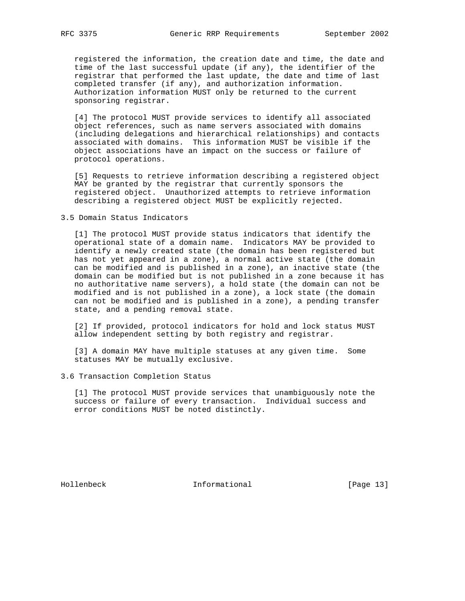registered the information, the creation date and time, the date and time of the last successful update (if any), the identifier of the registrar that performed the last update, the date and time of last completed transfer (if any), and authorization information. Authorization information MUST only be returned to the current sponsoring registrar.

 [4] The protocol MUST provide services to identify all associated object references, such as name servers associated with domains (including delegations and hierarchical relationships) and contacts associated with domains. This information MUST be visible if the object associations have an impact on the success or failure of protocol operations.

 [5] Requests to retrieve information describing a registered object MAY be granted by the registrar that currently sponsors the registered object. Unauthorized attempts to retrieve information describing a registered object MUST be explicitly rejected.

3.5 Domain Status Indicators

 [1] The protocol MUST provide status indicators that identify the operational state of a domain name. Indicators MAY be provided to identify a newly created state (the domain has been registered but has not yet appeared in a zone), a normal active state (the domain can be modified and is published in a zone), an inactive state (the domain can be modified but is not published in a zone because it has no authoritative name servers), a hold state (the domain can not be modified and is not published in a zone), a lock state (the domain can not be modified and is published in a zone), a pending transfer state, and a pending removal state.

 [2] If provided, protocol indicators for hold and lock status MUST allow independent setting by both registry and registrar.

 [3] A domain MAY have multiple statuses at any given time. Some statuses MAY be mutually exclusive.

3.6 Transaction Completion Status

 [1] The protocol MUST provide services that unambiguously note the success or failure of every transaction. Individual success and error conditions MUST be noted distinctly.

Hollenbeck Informational [Page 13]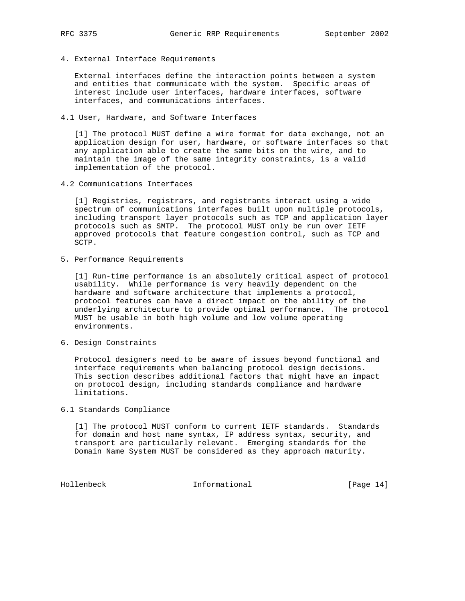4. External Interface Requirements

 External interfaces define the interaction points between a system and entities that communicate with the system. Specific areas of interest include user interfaces, hardware interfaces, software interfaces, and communications interfaces.

4.1 User, Hardware, and Software Interfaces

 [1] The protocol MUST define a wire format for data exchange, not an application design for user, hardware, or software interfaces so that any application able to create the same bits on the wire, and to maintain the image of the same integrity constraints, is a valid implementation of the protocol.

4.2 Communications Interfaces

 [1] Registries, registrars, and registrants interact using a wide spectrum of communications interfaces built upon multiple protocols, including transport layer protocols such as TCP and application layer protocols such as SMTP. The protocol MUST only be run over IETF approved protocols that feature congestion control, such as TCP and SCTP.

5. Performance Requirements

 [1] Run-time performance is an absolutely critical aspect of protocol usability. While performance is very heavily dependent on the hardware and software architecture that implements a protocol, protocol features can have a direct impact on the ability of the underlying architecture to provide optimal performance. The protocol MUST be usable in both high volume and low volume operating environments.

6. Design Constraints

 Protocol designers need to be aware of issues beyond functional and interface requirements when balancing protocol design decisions. This section describes additional factors that might have an impact on protocol design, including standards compliance and hardware limitations.

6.1 Standards Compliance

 [1] The protocol MUST conform to current IETF standards. Standards for domain and host name syntax, IP address syntax, security, and transport are particularly relevant. Emerging standards for the Domain Name System MUST be considered as they approach maturity.

Hollenbeck Informational [Page 14]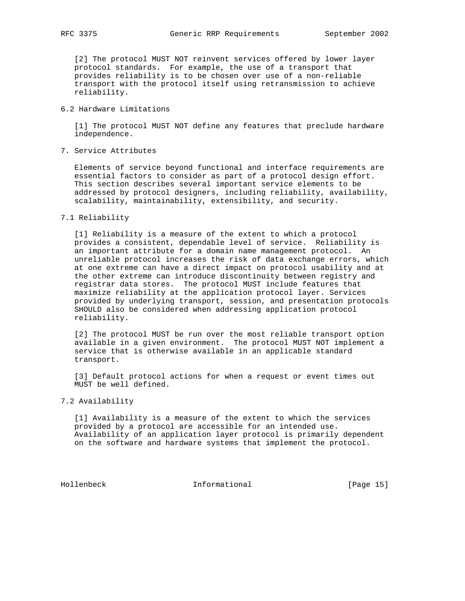[2] The protocol MUST NOT reinvent services offered by lower layer protocol standards. For example, the use of a transport that provides reliability is to be chosen over use of a non-reliable transport with the protocol itself using retransmission to achieve reliability.

#### 6.2 Hardware Limitations

 [1] The protocol MUST NOT define any features that preclude hardware independence.

7. Service Attributes

 Elements of service beyond functional and interface requirements are essential factors to consider as part of a protocol design effort. This section describes several important service elements to be addressed by protocol designers, including reliability, availability, scalability, maintainability, extensibility, and security.

# 7.1 Reliability

 [1] Reliability is a measure of the extent to which a protocol provides a consistent, dependable level of service. Reliability is an important attribute for a domain name management protocol. An unreliable protocol increases the risk of data exchange errors, which at one extreme can have a direct impact on protocol usability and at the other extreme can introduce discontinuity between registry and registrar data stores. The protocol MUST include features that maximize reliability at the application protocol layer. Services provided by underlying transport, session, and presentation protocols SHOULD also be considered when addressing application protocol reliability.

 [2] The protocol MUST be run over the most reliable transport option available in a given environment. The protocol MUST NOT implement a service that is otherwise available in an applicable standard transport.

[3] Default protocol actions for when a request or event times out MUST be well defined.

#### 7.2 Availability

 [1] Availability is a measure of the extent to which the services provided by a protocol are accessible for an intended use. Availability of an application layer protocol is primarily dependent on the software and hardware systems that implement the protocol.

Hollenbeck Informational [Page 15]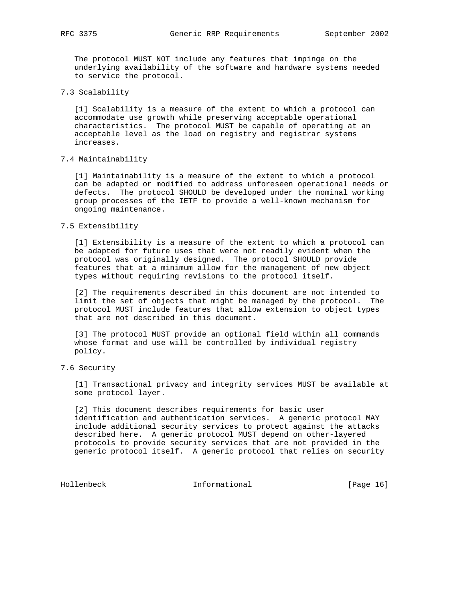RFC 3375 Generic RRP Requirements September 2002

 The protocol MUST NOT include any features that impinge on the underlying availability of the software and hardware systems needed to service the protocol.

# 7.3 Scalability

 [1] Scalability is a measure of the extent to which a protocol can accommodate use growth while preserving acceptable operational characteristics. The protocol MUST be capable of operating at an acceptable level as the load on registry and registrar systems increases.

## 7.4 Maintainability

 [1] Maintainability is a measure of the extent to which a protocol can be adapted or modified to address unforeseen operational needs or defects. The protocol SHOULD be developed under the nominal working group processes of the IETF to provide a well-known mechanism for ongoing maintenance.

#### 7.5 Extensibility

 [1] Extensibility is a measure of the extent to which a protocol can be adapted for future uses that were not readily evident when the protocol was originally designed. The protocol SHOULD provide features that at a minimum allow for the management of new object types without requiring revisions to the protocol itself.

 [2] The requirements described in this document are not intended to limit the set of objects that might be managed by the protocol. The protocol MUST include features that allow extension to object types that are not described in this document.

 [3] The protocol MUST provide an optional field within all commands whose format and use will be controlled by individual registry policy.

#### 7.6 Security

 [1] Transactional privacy and integrity services MUST be available at some protocol layer.

[2] This document describes requirements for basic user identification and authentication services. A generic protocol MAY include additional security services to protect against the attacks described here. A generic protocol MUST depend on other-layered protocols to provide security services that are not provided in the generic protocol itself. A generic protocol that relies on security

Hollenbeck Informational [Page 16]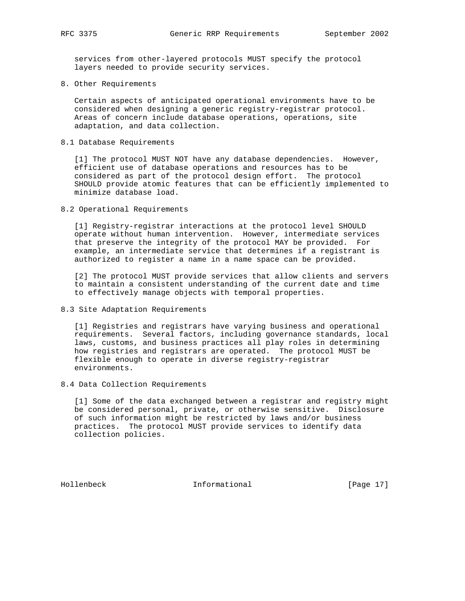services from other-layered protocols MUST specify the protocol layers needed to provide security services.

8. Other Requirements

 Certain aspects of anticipated operational environments have to be considered when designing a generic registry-registrar protocol. Areas of concern include database operations, operations, site adaptation, and data collection.

8.1 Database Requirements

 [1] The protocol MUST NOT have any database dependencies. However, efficient use of database operations and resources has to be considered as part of the protocol design effort. The protocol SHOULD provide atomic features that can be efficiently implemented to minimize database load.

8.2 Operational Requirements

 [1] Registry-registrar interactions at the protocol level SHOULD operate without human intervention. However, intermediate services that preserve the integrity of the protocol MAY be provided. For example, an intermediate service that determines if a registrant is authorized to register a name in a name space can be provided.

 [2] The protocol MUST provide services that allow clients and servers to maintain a consistent understanding of the current date and time to effectively manage objects with temporal properties.

8.3 Site Adaptation Requirements

 [1] Registries and registrars have varying business and operational requirements. Several factors, including governance standards, local laws, customs, and business practices all play roles in determining how registries and registrars are operated. The protocol MUST be flexible enough to operate in diverse registry-registrar environments.

8.4 Data Collection Requirements

 [1] Some of the data exchanged between a registrar and registry might be considered personal, private, or otherwise sensitive. Disclosure of such information might be restricted by laws and/or business practices. The protocol MUST provide services to identify data collection policies.

Hollenbeck Informational [Page 17]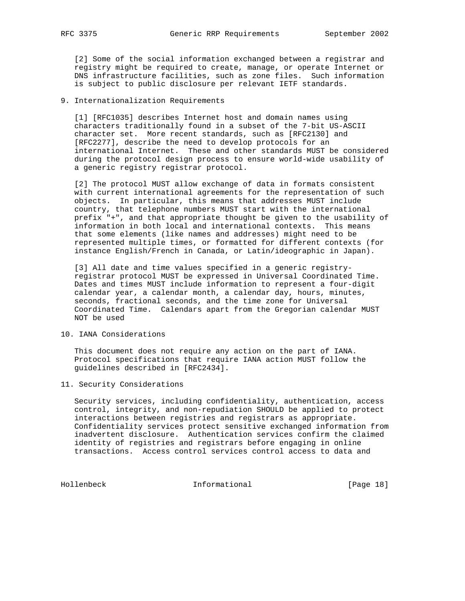[2] Some of the social information exchanged between a registrar and registry might be required to create, manage, or operate Internet or DNS infrastructure facilities, such as zone files. Such information is subject to public disclosure per relevant IETF standards.

# 9. Internationalization Requirements

 [1] [RFC1035] describes Internet host and domain names using characters traditionally found in a subset of the 7-bit US-ASCII character set. More recent standards, such as [RFC2130] and [RFC2277], describe the need to develop protocols for an international Internet. These and other standards MUST be considered during the protocol design process to ensure world-wide usability of a generic registry registrar protocol.

 [2] The protocol MUST allow exchange of data in formats consistent with current international agreements for the representation of such objects. In particular, this means that addresses MUST include country, that telephone numbers MUST start with the international prefix "+", and that appropriate thought be given to the usability of information in both local and international contexts. This means that some elements (like names and addresses) might need to be represented multiple times, or formatted for different contexts (for instance English/French in Canada, or Latin/ideographic in Japan).

 [3] All date and time values specified in a generic registry registrar protocol MUST be expressed in Universal Coordinated Time. Dates and times MUST include information to represent a four-digit calendar year, a calendar month, a calendar day, hours, minutes, seconds, fractional seconds, and the time zone for Universal Coordinated Time. Calendars apart from the Gregorian calendar MUST NOT be used

# 10. IANA Considerations

 This document does not require any action on the part of IANA. Protocol specifications that require IANA action MUST follow the guidelines described in [RFC2434].

## 11. Security Considerations

 Security services, including confidentiality, authentication, access control, integrity, and non-repudiation SHOULD be applied to protect interactions between registries and registrars as appropriate. Confidentiality services protect sensitive exchanged information from inadvertent disclosure. Authentication services confirm the claimed identity of registries and registrars before engaging in online transactions. Access control services control access to data and

Hollenbeck Informational [Page 18]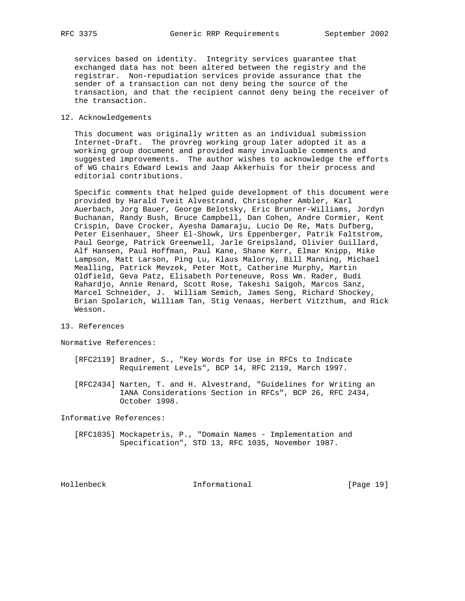services based on identity. Integrity services guarantee that exchanged data has not been altered between the registry and the registrar. Non-repudiation services provide assurance that the sender of a transaction can not deny being the source of the transaction, and that the recipient cannot deny being the receiver of the transaction.

#### 12. Acknowledgements

 This document was originally written as an individual submission Internet-Draft. The provreg working group later adopted it as a working group document and provided many invaluable comments and suggested improvements. The author wishes to acknowledge the efforts of WG chairs Edward Lewis and Jaap Akkerhuis for their process and editorial contributions.

 Specific comments that helped guide development of this document were provided by Harald Tveit Alvestrand, Christopher Ambler, Karl Auerbach, Jorg Bauer, George Belotsky, Eric Brunner-Williams, Jordyn Buchanan, Randy Bush, Bruce Campbell, Dan Cohen, Andre Cormier, Kent Crispin, Dave Crocker, Ayesha Damaraju, Lucio De Re, Mats Dufberg, Peter Eisenhauer, Sheer El-Showk, Urs Eppenberger, Patrik Faltstrom, Paul George, Patrick Greenwell, Jarle Greipsland, Olivier Guillard, Alf Hansen, Paul Hoffman, Paul Kane, Shane Kerr, Elmar Knipp, Mike Lampson, Matt Larson, Ping Lu, Klaus Malorny, Bill Manning, Michael Mealling, Patrick Mevzek, Peter Mott, Catherine Murphy, Martin Oldfield, Geva Patz, Elisabeth Porteneuve, Ross Wm. Rader, Budi Rahardjo, Annie Renard, Scott Rose, Takeshi Saigoh, Marcos Sanz, Marcel Schneider, J. William Semich, James Seng, Richard Shockey, Brian Spolarich, William Tan, Stig Venaas, Herbert Vitzthum, and Rick Wesson.

13. References

Normative References:

- [RFC2119] Bradner, S., "Key Words for Use in RFCs to Indicate Requirement Levels", BCP 14, RFC 2119, March 1997.
- [RFC2434] Narten, T. and H. Alvestrand, "Guidelines for Writing an IANA Considerations Section in RFCs", BCP 26, RFC 2434, October 1998.

Informative References:

 [RFC1035] Mockapetris, P., "Domain Names - Implementation and Specification", STD 13, RFC 1035, November 1987.

Hollenbeck Informational [Page 19]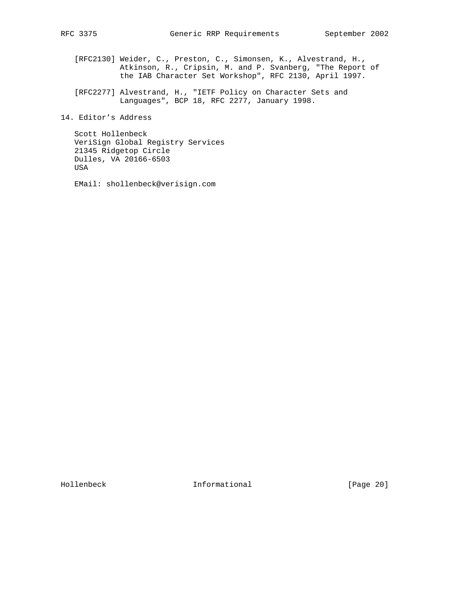- [RFC2130] Weider, C., Preston, C., Simonsen, K., Alvestrand, H., Atkinson, R., Cripsin, M. and P. Svanberg, "The Report of the IAB Character Set Workshop", RFC 2130, April 1997.
- [RFC2277] Alvestrand, H., "IETF Policy on Character Sets and Languages", BCP 18, RFC 2277, January 1998.
- 14. Editor's Address

 Scott Hollenbeck VeriSign Global Registry Services 21345 Ridgetop Circle Dulles, VA 20166-6503 USA

EMail: shollenbeck@verisign.com

Hollenbeck Informational [Page 20]